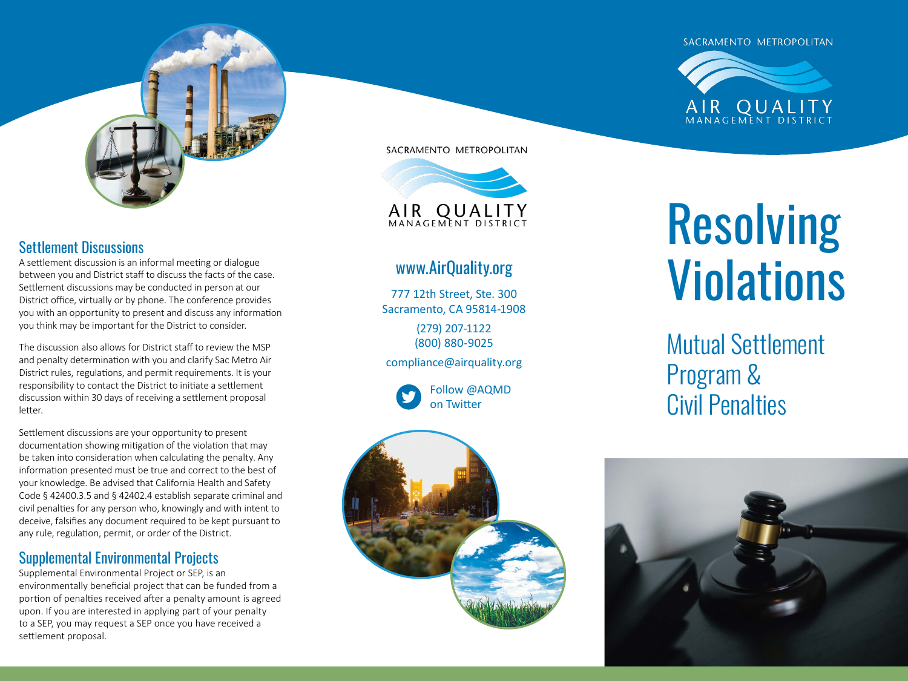#### SACRAMENTO METROPOLITAN

AIR QUALI



## Settlement Discussions

A settlement discussion is an informal meeting or dialogue between you and District staff to discuss the facts of the case. Settlement discussions may be conducted in person at our District office, virtually or by phone. The conference provides you with an opportunity to present and discuss any information you think may be important for the District to consider.

The discussion also allows for District staff to review the MSP and penalty determination with you and clarify Sac Metro Air District rules, regulations, and permit requirements. It is your responsibility to contact the District to initiate a settlement discussion within 30 days of receiving a settlement proposal letter.

Settlement discussions are your opportunity to present documentation showing mitigation of the violation that may be taken into consideration when calculating the penalty. Any information presented must be true and correct to the best of your knowledge. Be advised that California Health and Safety Code § 42400.3.5 and § 42402.4 establish separate criminal and civil penalties for any person who, knowingly and with intent to deceive, falsifies any document required to be kept pursuant to any rule, regulation, permit, or order of the District.

## Supplemental Environmental Projects

Supplemental Environmental Project or SEP, is an environmentally beneficial project that can be funded from a portion of penalties received after a penalty amount is agreed upon. If you are interested in applying part of your penalty to a SEP, you may request a SEP once you have received a settlement proposal.

SACRAMENTO METROPOLITAN



# [www.AirQuality.org](http://www.AirQuality.org )

777 12th Street, Ste. 300 Sacramento, CA 95814-1908

> (279) 207-1122 (800) 880-9025

[compliance@airquality.org](mailto:compliance%40airquality.org?subject=) 

Follow @AQMD on Twitter



# Resolving **Violations**

Mutual Settlement Program & Civil Penalties